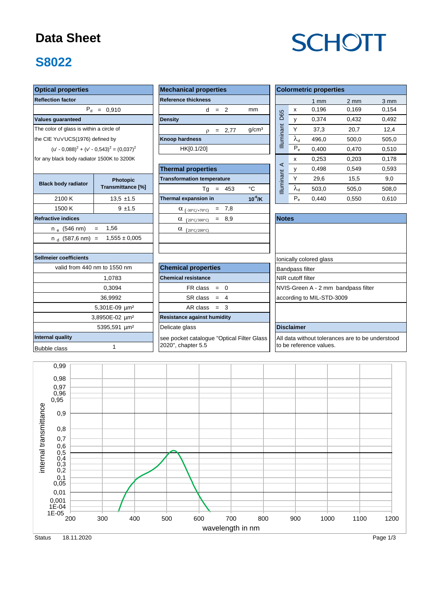# **Data Sheet**

## **S8022**

# **SCHOTT**

| <b>Optical properties</b>                            |                                                                     | <b>Mechanical properties</b>                         | <b>Colormetric properties</b>                    |                         |                   |                |                  |                         |  |  |  |  |  |
|------------------------------------------------------|---------------------------------------------------------------------|------------------------------------------------------|--------------------------------------------------|-------------------------|-------------------|----------------|------------------|-------------------------|--|--|--|--|--|
| <b>Reflection factor</b>                             |                                                                     | <b>Reference thickness</b>                           |                                                  |                         |                   |                |                  |                         |  |  |  |  |  |
|                                                      |                                                                     |                                                      |                                                  |                         |                   | $1 \text{ mm}$ | $2 \, \text{mm}$ | $3 \, \text{mm}$        |  |  |  |  |  |
|                                                      | $P_d = 0,910$                                                       | $d = 2$                                              | mm                                               | D65                     | X                 | 0,196          | 0,169            | 0,154                   |  |  |  |  |  |
| <b>Values quaranteed</b>                             |                                                                     | <b>Density</b>                                       |                                                  |                         | y                 | 0,374          | 0,432            | 0,492                   |  |  |  |  |  |
| The color of glass is within a circle of             |                                                                     | $\rho = 2,77$                                        | q/cm <sup>3</sup>                                |                         | Y                 | 37,3           | 20,7             | 12,4                    |  |  |  |  |  |
| the CIE Yu'v'UCS(1976) defined by                    |                                                                     | <b>Knoop hardness</b>                                | Illuminant                                       | $\lambda_{\rm d}$       | 496,0             | 500,0          | 505,0            |                         |  |  |  |  |  |
|                                                      | (u' - 0.088) <sup>2</sup> + (v' - 0.543) <sup>2</sup> = $(0.037)^2$ | HK[0.1/20]                                           |                                                  | $P_e$                   | 0,400             | 0,470          | 0,510            |                         |  |  |  |  |  |
| for any black body radiator 1500K to 3200K           |                                                                     |                                                      |                                                  | x                       | 0,253             | 0,203          | 0,178            |                         |  |  |  |  |  |
|                                                      |                                                                     | <b>Thermal properties</b>                            | $\prec$                                          | у                       | 0,498             | 0,549          | 0,593            |                         |  |  |  |  |  |
| <b>Transformation temperature</b><br><b>Photopic</b> |                                                                     |                                                      |                                                  |                         |                   | 29,6           | 15,5             | 9,0                     |  |  |  |  |  |
| <b>Black body radiator</b>                           | Transmittance [%]                                                   | $Tq = 453$                                           | °C                                               | <b>Illuminant</b>       | $\lambda_{\sf d}$ | 503,0          | 505,0            | 508,0                   |  |  |  |  |  |
| 2100 K                                               | $13.5 \pm 1.5$                                                      | Thermal expansion in                                 | $10^{-6}$ /K                                     |                         | $P_e$             | 0,440          | 0,550            | 0,610                   |  |  |  |  |  |
| 1500 K                                               | $9 + 1.5$                                                           | $\alpha_{(-30^{\circ}C/+70^{\circ}C)}$ = 7,8         |                                                  |                         |                   |                |                  |                         |  |  |  |  |  |
| <b>Refractive indices</b>                            |                                                                     | $\alpha$ (20°C/300°C) = 8,9                          | <b>Notes</b>                                     |                         |                   |                |                  |                         |  |  |  |  |  |
| $n_{\rm e}$ (546 nm)                                 | 1,56<br>$=$                                                         | $\alpha$ (20°C/200°C)                                |                                                  |                         |                   |                |                  |                         |  |  |  |  |  |
| $n_d$ (587,6 nm) =                                   | $1,555 \pm 0,005$                                                   |                                                      |                                                  |                         |                   |                |                  |                         |  |  |  |  |  |
|                                                      |                                                                     |                                                      |                                                  |                         |                   |                |                  |                         |  |  |  |  |  |
| <b>Sellmeier coefficients</b>                        |                                                                     |                                                      |                                                  | lonically colored glass |                   |                |                  |                         |  |  |  |  |  |
|                                                      | valid from 440 nm to 1550 nm                                        | <b>Chemical properties</b><br><b>Bandpass filter</b> |                                                  |                         |                   |                |                  |                         |  |  |  |  |  |
|                                                      | 1,0783                                                              | <b>Chemical resistance</b><br>NIR cutoff filter      |                                                  |                         |                   |                |                  |                         |  |  |  |  |  |
|                                                      | 0,3094                                                              | $FR \text{ class } = 0$                              | NVIS-Green A - 2 mm bandpass filter              |                         |                   |                |                  |                         |  |  |  |  |  |
|                                                      | 36,9992                                                             | $SR class = 4$                                       | according to MIL-STD-3009                        |                         |                   |                |                  |                         |  |  |  |  |  |
|                                                      | 5,301E-09 um <sup>2</sup>                                           | $AR class = 3$                                       |                                                  |                         |                   |                |                  |                         |  |  |  |  |  |
|                                                      | 3,8950E-02 um <sup>2</sup>                                          | <b>Resistance against humidity</b>                   |                                                  |                         |                   |                |                  |                         |  |  |  |  |  |
|                                                      | 5395,591 µm <sup>2</sup>                                            | Delicate glass                                       |                                                  | <b>Disclaimer</b>       |                   |                |                  |                         |  |  |  |  |  |
| Internal quality                                     |                                                                     | see pocket catalogue "Optical Filter Glass           | All data without tolerances are to be understood |                         |                   |                |                  |                         |  |  |  |  |  |
| <b>Bubble class</b>                                  | $\mathbf{1}$                                                        | 2020", chapter 5.5                                   |                                                  |                         |                   |                |                  | to be reference values. |  |  |  |  |  |
|                                                      |                                                                     |                                                      |                                                  |                         |                   |                |                  |                         |  |  |  |  |  |

wavelength in nm internal transmittance Status 18.11.2020 **Page 1/3** 18.11.2020 0,99 0,98 0,97 0,96 0,95 0,9 0,8 0,7 0,6 0,5 0,4 0,3 0,2 0,1 0,05 0,01 0,001 1E-04 1E-05 200 300 400 500 600 700 800 900 1000 1100 1200 internal transmittance wavelength in nm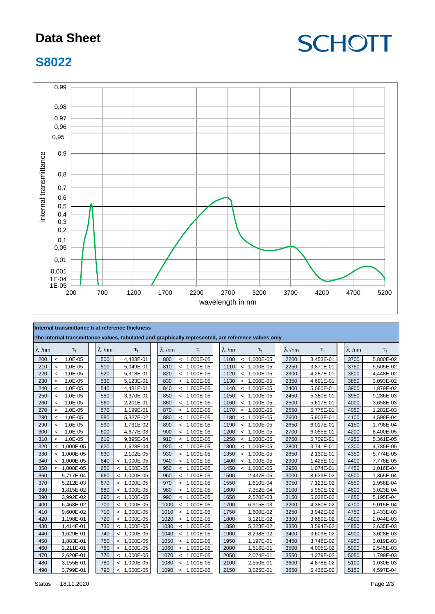## **Data Sheet**



#### **S8022**



| Internal transmittance ti at reference thickness<br>The internal transmittance values, tabulated and graphically represented, are reference values only |                                     |               |               |               |                                       |               |         |               |  |               |           |               |           |
|---------------------------------------------------------------------------------------------------------------------------------------------------------|-------------------------------------|---------------|---------------|---------------|---------------------------------------|---------------|---------|---------------|--|---------------|-----------|---------------|-----------|
| $\lambda$ /nm                                                                                                                                           | $\tau_i$                            | $\lambda$ /nm | $\tau_i$      | $\lambda$ /nm | $\tau_i$                              | $\lambda$ /nm |         | $\tau_i$      |  | $\lambda$ /nm | $\tau_i$  | $\lambda$ /nm | $\tau_i$  |
| 200                                                                                                                                                     | 1,0E-05<br>$\overline{\phantom{a}}$ | 500           | 4,483E-01     | 800           | 1,000E-05<br>$\overline{\phantom{a}}$ | 1100          | $\prec$ | 1,000E-05     |  | 2200          | 3,453E-01 | 3700          | 5,800E-02 |
| 210                                                                                                                                                     | 1,0E-05<br>$\overline{a}$           | 510           | 5,049E-01     | 810           | $< 1,000E-05$                         | 1110          | $\leq$  | 1,000E-05     |  | 2250          | 3,871E-01 | 3750          | 5,505E-02 |
| 220                                                                                                                                                     | 1,0E-05<br>$\overline{a}$           | 520           | 5,313E-01     | 820           | $< 1,000E-05$                         | 1120          |         | $< 1,000E-05$ |  | 2300          | 4,287E-01 | 3800          | 4,448E-02 |
| 230                                                                                                                                                     | 1,0E-05<br>$\overline{a}$           | 530           | 5,123E-01     | 830           | 1,000E-05<br>$\prec$                  | 1130          | $\prec$ | 1,000E-05     |  | 2350          | 4,691E-01 | 3850          | 3,093E-02 |
| 240                                                                                                                                                     | 1,0E-05<br>$\prec$                  | 540           | 4,431E-01     | 840           | $< 1,000E-05$                         | 1140          |         | $< 1,000E-05$ |  | 2400          | 5,060E-01 | 3900          | 1,879E-02 |
| 250                                                                                                                                                     | 1,0E-05<br>$\overline{\phantom{a}}$ | 550           | 3,370E-01     | 850           | $< 1,000E-05$                         | 1150          | $\prec$ | 1,000E-05     |  | 2450          | 5,380E-01 | 3950          | 9,286E-03 |
| 260                                                                                                                                                     | 1,0E-05<br>$\overline{a}$           | 560           | 2,201E-01     | 860           | $< 1,000E-05$                         | 1160          |         | $< 1,000E-05$ |  | 2500          | 5,617E-01 | 4000          | 3,658E-03 |
| 270                                                                                                                                                     | 1,0E-05<br>$\overline{a}$           | 570           | 1,199E-01     | 870           | $< 1,000E-05$                         | 1170          |         | $< 1,000E-05$ |  | 2550          | 5,775E-01 | 4050          | 1,282E-03 |
| 280                                                                                                                                                     | 1,0E-05<br>$\prec$                  | 580           | 5,327E-02     | 880           | 1,000E-05<br>$\prec$                  | 1180          | $\leq$  | 1,000E-05     |  | 2600          | 5,903E-01 | 4100          | 4,598E-04 |
| 290                                                                                                                                                     | 1,0E-05<br>$\prec$                  | 590           | 1,731E-02     | 890           | $< 1,000E-05$                         | 1190          |         | $< 1,000E-05$ |  | 2650          | 6,017E-01 | 4150          | 1,798E-04 |
| 300                                                                                                                                                     | 1,0E-05<br>$\overline{\phantom{a}}$ | 600           | 4,677E-03     | 900           | $< 1,000E-05$                         | 1200          | $\prec$ | 1,000E-05     |  | 2700          | 6,055E-01 | 4200          | 8,400E-05 |
| 310                                                                                                                                                     | 1,0E-05<br>$\prec$                  | 610           | 9,895E-04     | 910           | $< 1,000E-05$                         | 1250          | $\prec$ | 1,000E-05     |  | 2750          | 5,709E-01 | 4250          | 5,361E-05 |
| 320                                                                                                                                                     | $< 1,000E-05$                       | 620           | 1,628E-04     | 920           | $< 1,000E-05$                         | 1300          |         | $< 1,000E-05$ |  | 2800          | 3,741E-01 | 4300          | 4,785E-05 |
| 330                                                                                                                                                     | $< 1,000E-05$                       | 630           | 2,102E-05     | 930           | $< 1,000E-05$                         | 1350          | $\prec$ | 1,000E-05     |  | 2850          | 2,130E-01 | 4350          | 5,774E-05 |
| 340                                                                                                                                                     | $< 1,000E-05$                       | 640           | $< 1,000E-05$ | 940           | $< 1,000E-05$                         | 1400          |         | $< 1,000E-05$ |  | 2900          | 1,425E-01 | 4400          | 7,778E-05 |
| 350                                                                                                                                                     | $< 1,000E-05$                       | 650           | $< 1,000E-05$ | 950           | $< 1,000E-05$                         | 1450          |         | $< 1,000E-05$ |  | 2950          | 1,074E-01 | 4450          | 1,016E-04 |
| 360                                                                                                                                                     | 5,717E-04                           | 660           | $< 1,000E-05$ | 960           | $< 1,000E-05$                         | 1500          |         | 2,437E-05     |  | 3000          | 8,629E-02 | 4500          | 1,365E-04 |
| 370                                                                                                                                                     | 5,212E-03                           | 670           | $< 1,000E-05$ | 970           | $< 1,000E-05$                         | 1550          |         | 1,610E-04     |  | 3050          | 7,123E-02 | 4550          | 1,958E-04 |
| 380                                                                                                                                                     | 1,815E-02                           | 680           | $< 1,000E-05$ | 980           | $< 1,000E-05$                         | 1600          |         | 7,352E-04     |  | 3100          | 5,950E-02 | 4600          | 3,023E-04 |
| 390                                                                                                                                                     | 3,992E-02                           | 690           | $< 1,000E-05$ | 990           | $< 1,000E-05$                         | 1650          |         | 2,520E-03     |  | 3150          | 5,038E-02 | 4650          | 5,195E-04 |
| 400                                                                                                                                                     | 6,468E-02                           | 700           | $< 1,000E-05$ | 1000          | $< 1,000E-05$                         | 1700          |         | 6,915E-03     |  | 3200          | 4,380E-02 | 4700          | 9,015E-04 |
| 410                                                                                                                                                     | 9,600E-02                           | 710           | $< 1,000E-05$ | 1010          | $< 1,000E-05$                         | 1750          |         | 1,600E-02     |  | 3250          | 3,942E-02 | 4750          | 1,433E-03 |
| 420                                                                                                                                                     | 1,198E-01                           | 720           | $< 1,000E-05$ | 1020          | $< 1,000E-05$                         | 1800          |         | 3,121E-02     |  | 3300          | 3,689E-02 | 4800          | 2,044E-03 |
| 430                                                                                                                                                     | 1,414E-01                           | 730           | $< 1,000E-05$ | 1030          | $< 1,000E-05$                         | 1850          |         | 5,323E-02     |  | 3350          | 3,594E-02 | 4850          | 2,635E-03 |
| 440                                                                                                                                                     | 1,629E-01                           | 740           | $< 1,000E-05$ | 1040          | $< 1,000E-05$                         | 1900          |         | 8,298E-02     |  | 3400          | 3,609E-02 | 4900          | 3,028E-03 |
| 450                                                                                                                                                     | 1,883E-01                           | 750           | $< 1,000E-05$ | 1050          | $< 1,000E-05$                         | 1950          |         | 1,197E-01     |  | 3450          | 3,746E-02 | 4950          | 3,019E-03 |
| 460                                                                                                                                                     | 2,211E-01                           | 760           | $< 1,000E-05$ | 1060          | $< 1,000E-05$                         | 2000          |         | 1,616E-01     |  | 3500          | 4,005E-02 | 5000          | 2,545E-03 |
| 470                                                                                                                                                     | 2,620E-01                           | 770           | $< 1,000E-05$ | 1070          | $< 1,000E-05$                         | 2050          |         | 2,074E-01     |  | 3550          | 4,379E-02 | 5050          | 1,799E-03 |
| 480                                                                                                                                                     | 3,155E-01                           | 780           | $< 1,000E-05$ | 1080          | 1,000E-05<br>$\prec$                  | 2100          |         | 2,550E-01     |  | 3600          | 4,878E-02 | 5100          | 1,030E-03 |
| 490                                                                                                                                                     | 3,799E-01                           | 790           | $< 1,000E-05$ | 1090          | $< 1,000E-05$                         | 2150          |         | 3,025E-01     |  | 3650          | 5,436E-02 | 5150          | 4,597E-04 |